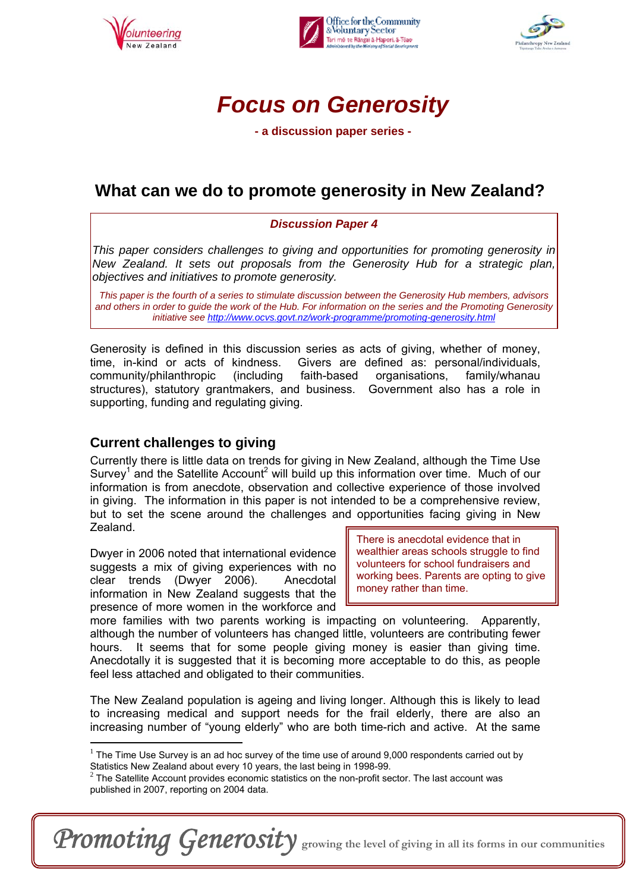





**- a discussion paper series -** 

## **What can we do to promote generosity in New Zealand?**

#### *Discussion Paper 4*

*This paper considers challenges to giving and opportunities for promoting generosity in New Zealand. It sets out proposals from the Generosity Hub for a strategic plan, objectives and initiatives to promote generosity.*

*This paper is the fourth of a series to stimulate discussion between the Generosity Hub members, advisors and others in order to guide the work of the Hub. For information on the series and the Promoting Generosity initiative see http://www.ocvs.govt.nz/work-programme/promoting-generosity.html* 

Generosity is defined in this discussion series as acts of giving, whether of money, time, in-kind or acts of kindness. Givers are defined as: personal/individuals, community/philanthropic (including faith-based organisations, family/whanau structures), statutory grantmakers, and business. Government also has a role in supporting, funding and regulating giving.

### **Current challenges to giving**

 $\overline{a}$ 

Currently there is little data on trends for giving in New Zealand, although the Time Use Survey<sup>1</sup> and the Satellite Account<sup>2</sup> will build up this information over time. Much of our information is from anecdote, observation and collective experience of those involved in giving. The information in this paper is not intended to be a comprehensive review, but to set the scene around the challenges and opportunities facing giving in New Zealand.

Dwyer in 2006 noted that international evidence suggests a mix of giving experiences with no clear trends (Dwyer 2006). Anecdotal information in New Zealand suggests that the presence of more women in the workforce and

There is anecdotal evidence that in wealthier areas schools struggle to find volunteers for school fundraisers and working bees. Parents are opting to give money rather than time.

more families with two parents working is impacting on volunteering. Apparently, although the number of volunteers has changed little, volunteers are contributing fewer hours. It seems that for some people giving money is easier than giving time. Anecdotally it is suggested that it is becoming more acceptable to do this, as people feel less attached and obligated to their communities.

The New Zealand population is ageing and living longer. Although this is likely to lead to increasing medical and support needs for the frail elderly, there are also an increasing number of "young elderly" who are both time-rich and active. At the same

Promoting Generosity growing the level of giving in all its forms in our communities

 $1$  The Time Use Survey is an ad hoc survey of the time use of around 9,000 respondents carried out by

Statistics New Zealand about every 10 years, the last being in 1998-99.<br><sup>2</sup> The Satellite Account provides economic statistics on the non-profit sector. The last account was published in 2007, reporting on 2004 data.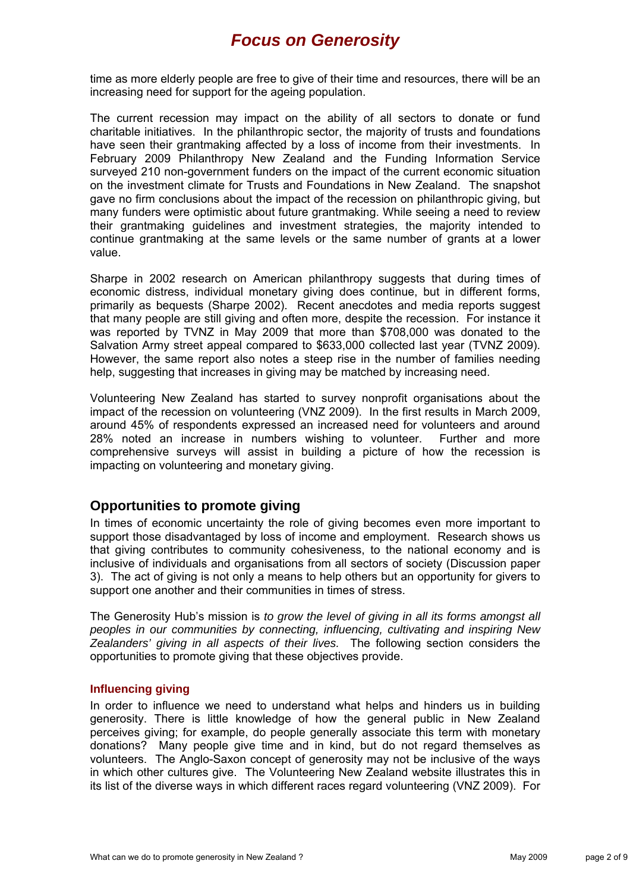time as more elderly people are free to give of their time and resources, there will be an increasing need for support for the ageing population.

The current recession may impact on the ability of all sectors to donate or fund charitable initiatives. In the philanthropic sector, the majority of trusts and foundations have seen their grantmaking affected by a loss of income from their investments. In February 2009 Philanthropy New Zealand and the Funding Information Service surveyed 210 non-government funders on the impact of the current economic situation on the investment climate for Trusts and Foundations in New Zealand. The snapshot gave no firm conclusions about the impact of the recession on philanthropic giving, but many funders were optimistic about future grantmaking. While seeing a need to review their grantmaking guidelines and investment strategies, the majority intended to continue grantmaking at the same levels or the same number of grants at a lower value.

Sharpe in 2002 research on American philanthropy suggests that during times of economic distress, individual monetary giving does continue, but in different forms, primarily as bequests (Sharpe 2002). Recent anecdotes and media reports suggest that many people are still giving and often more, despite the recession. For instance it was reported by TVNZ in May 2009 that more than \$708,000 was donated to the Salvation Army street appeal compared to \$633,000 collected last year (TVNZ 2009). However, the same report also notes a steep rise in the number of families needing help, suggesting that increases in giving may be matched by increasing need.

Volunteering New Zealand has started to survey nonprofit organisations about the impact of the recession on volunteering (VNZ 2009). In the first results in March 2009, around 45% of respondents expressed an increased need for volunteers and around 28% noted an increase in numbers wishing to volunteer. Further and more comprehensive surveys will assist in building a picture of how the recession is impacting on volunteering and monetary giving.

### **Opportunities to promote giving**

In times of economic uncertainty the role of giving becomes even more important to support those disadvantaged by loss of income and employment. Research shows us that giving contributes to community cohesiveness, to the national economy and is inclusive of individuals and organisations from all sectors of society (Discussion paper 3). The act of giving is not only a means to help others but an opportunity for givers to support one another and their communities in times of stress.

The Generosity Hub's mission is *to grow the level of giving in all its forms amongst all peoples in our communities by connecting, influencing, cultivating and inspiring New Zealanders' giving in all aspects of their lives.* The following section considers the opportunities to promote giving that these objectives provide.

#### **Influencing giving**

In order to influence we need to understand what helps and hinders us in building generosity. There is little knowledge of how the general public in New Zealand perceives giving; for example, do people generally associate this term with monetary donations? Many people give time and in kind, but do not regard themselves as volunteers. The Anglo-Saxon concept of generosity may not be inclusive of the ways in which other cultures give. The Volunteering New Zealand website illustrates this in its list of the diverse ways in which different races regard volunteering (VNZ 2009). For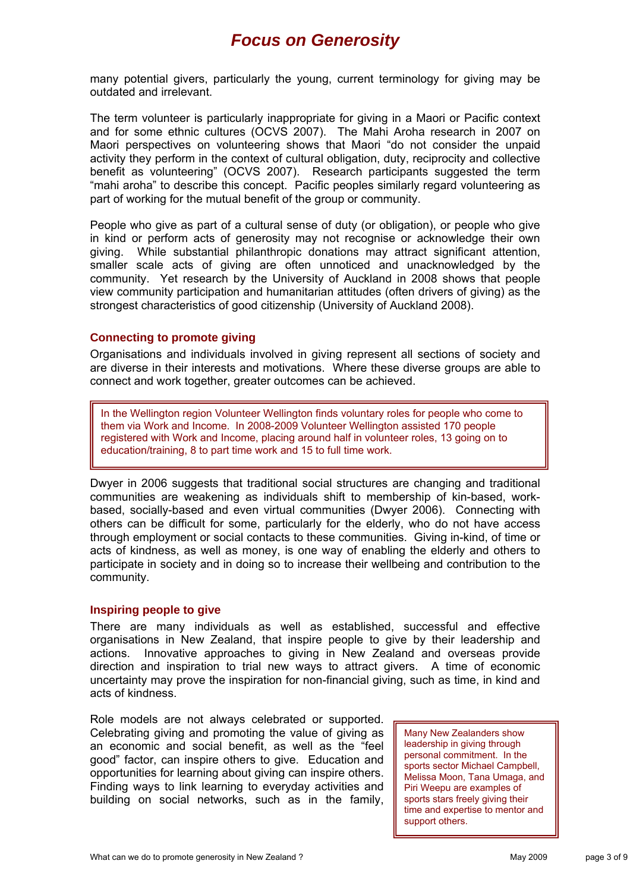many potential givers, particularly the young, current terminology for giving may be outdated and irrelevant.

The term volunteer is particularly inappropriate for giving in a Maori or Pacific context and for some ethnic cultures (OCVS 2007). The Mahi Aroha research in 2007 on Maori perspectives on volunteering shows that Maori "do not consider the unpaid activity they perform in the context of cultural obligation, duty, reciprocity and collective benefit as volunteering" (OCVS 2007). Research participants suggested the term "mahi aroha" to describe this concept. Pacific peoples similarly regard volunteering as part of working for the mutual benefit of the group or community.

People who give as part of a cultural sense of duty (or obligation), or people who give in kind or perform acts of generosity may not recognise or acknowledge their own giving. While substantial philanthropic donations may attract significant attention, smaller scale acts of giving are often unnoticed and unacknowledged by the community. Yet research by the University of Auckland in 2008 shows that people view community participation and humanitarian attitudes (often drivers of giving) as the strongest characteristics of good citizenship (University of Auckland 2008).

#### **Connecting to promote giving**

Organisations and individuals involved in giving represent all sections of society and are diverse in their interests and motivations. Where these diverse groups are able to connect and work together, greater outcomes can be achieved.

In the Wellington region Volunteer Wellington finds voluntary roles for people who come to them via Work and Income. In 2008-2009 Volunteer Wellington assisted 170 people registered with Work and Income, placing around half in volunteer roles, 13 going on to education/training, 8 to part time work and 15 to full time work.

Dwyer in 2006 suggests that traditional social structures are changing and traditional communities are weakening as individuals shift to membership of kin-based, workbased, socially-based and even virtual communities (Dwyer 2006). Connecting with others can be difficult for some, particularly for the elderly, who do not have access through employment or social contacts to these communities. Giving in-kind, of time or acts of kindness, as well as money, is one way of enabling the elderly and others to participate in society and in doing so to increase their wellbeing and contribution to the community.

#### **Inspiring people to give**

There are many individuals as well as established, successful and effective organisations in New Zealand, that inspire people to give by their leadership and actions. Innovative approaches to giving in New Zealand and overseas provide direction and inspiration to trial new ways to attract givers. A time of economic uncertainty may prove the inspiration for non-financial giving, such as time, in kind and acts of kindness.

Role models are not always celebrated or supported. Celebrating giving and promoting the value of giving as an economic and social benefit, as well as the "feel good" factor, can inspire others to give. Education and opportunities for learning about giving can inspire others. Finding ways to link learning to everyday activities and building on social networks, such as in the family,

Many New Zealanders show leadership in giving through personal commitment. In the sports sector Michael Campbell, Melissa Moon, Tana Umaga, and Piri Weepu are examples of sports stars freely giving their time and expertise to mentor and support others.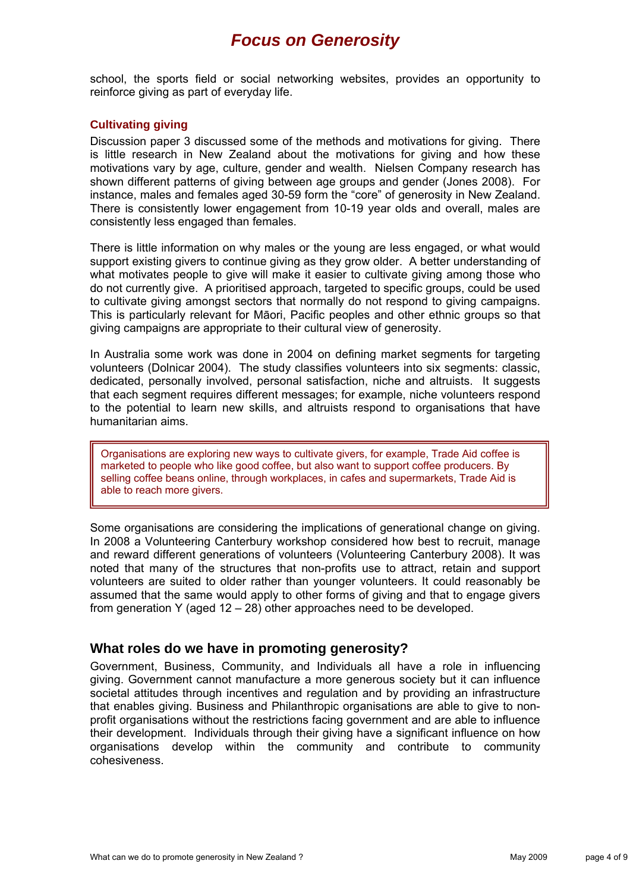school, the sports field or social networking websites, provides an opportunity to reinforce giving as part of everyday life.

#### **Cultivating giving**

Discussion paper 3 discussed some of the methods and motivations for giving. There is little research in New Zealand about the motivations for giving and how these motivations vary by age, culture, gender and wealth. Nielsen Company research has shown different patterns of giving between age groups and gender (Jones 2008). For instance, males and females aged 30-59 form the "core" of generosity in New Zealand. There is consistently lower engagement from 10-19 year olds and overall, males are consistently less engaged than females.

There is little information on why males or the young are less engaged, or what would support existing givers to continue giving as they grow older. A better understanding of what motivates people to give will make it easier to cultivate giving among those who do not currently give. A prioritised approach, targeted to specific groups, could be used to cultivate giving amongst sectors that normally do not respond to giving campaigns. This is particularly relevant for Māori, Pacific peoples and other ethnic groups so that giving campaigns are appropriate to their cultural view of generosity.

In Australia some work was done in 2004 on defining market segments for targeting volunteers (Dolnicar 2004). The study classifies volunteers into six segments: classic, dedicated, personally involved, personal satisfaction, niche and altruists. It suggests that each segment requires different messages; for example, niche volunteers respond to the potential to learn new skills, and altruists respond to organisations that have humanitarian aims.

Organisations are exploring new ways to cultivate givers, for example, Trade Aid coffee is marketed to people who like good coffee, but also want to support coffee producers. By selling coffee beans online, through workplaces, in cafes and supermarkets, Trade Aid is able to reach more givers.

Some organisations are considering the implications of generational change on giving. In 2008 a Volunteering Canterbury workshop considered how best to recruit, manage and reward different generations of volunteers (Volunteering Canterbury 2008). It was noted that many of the structures that non-profits use to attract, retain and support volunteers are suited to older rather than younger volunteers. It could reasonably be assumed that the same would apply to other forms of giving and that to engage givers from generation Y (aged 12 – 28) other approaches need to be developed.

#### **What roles do we have in promoting generosity?**

Government, Business, Community, and Individuals all have a role in influencing giving. Government cannot manufacture a more generous society but it can influence societal attitudes through incentives and regulation and by providing an infrastructure that enables giving. Business and Philanthropic organisations are able to give to nonprofit organisations without the restrictions facing government and are able to influence their development. Individuals through their giving have a significant influence on how organisations develop within the community and contribute to community cohesiveness.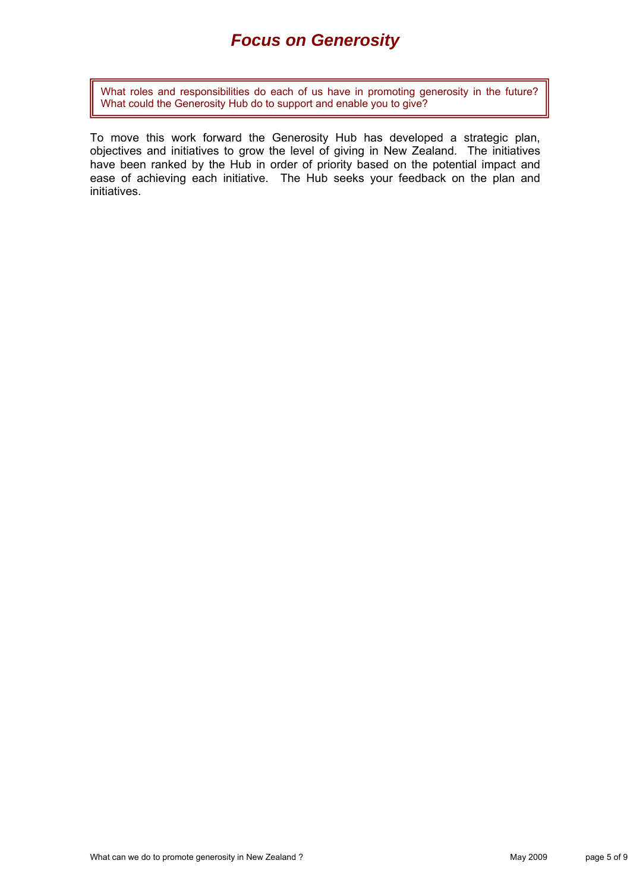What roles and responsibilities do each of us have in promoting generosity in the future? What could the Generosity Hub do to support and enable you to give?

To move this work forward the Generosity Hub has developed a strategic plan, objectives and initiatives to grow the level of giving in New Zealand. The initiatives have been ranked by the Hub in order of priority based on the potential impact and ease of achieving each initiative. The Hub seeks your feedback on the plan and initiatives.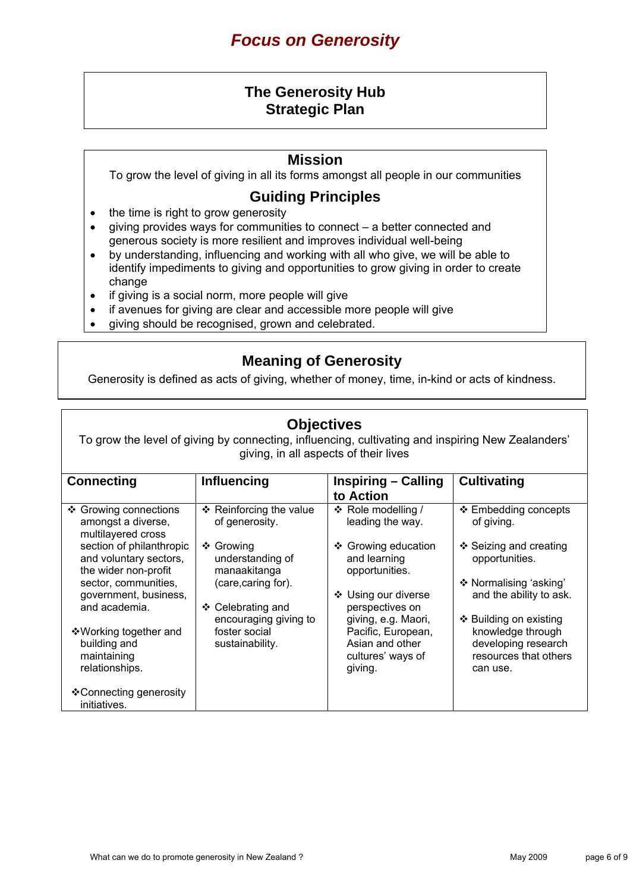### **The Generosity Hub Strategic Plan**

#### **Mission**

To grow the level of giving in all its forms amongst all people in our communities

### **Guiding Principles**

- the time is right to grow generosity
- giving provides ways for communities to connect a better connected and generous society is more resilient and improves individual well-being
- by understanding, influencing and working with all who give, we will be able to identify impediments to giving and opportunities to grow giving in order to create change
- if giving is a social norm, more people will give
- if avenues for giving are clear and accessible more people will give
- giving should be recognised, grown and celebrated.

### **Meaning of Generosity**

Generosity is defined as acts of giving, whether of money, time, in-kind or acts of kindness.

### **Objectives**

To grow the level of giving by connecting, influencing, cultivating and inspiring New Zealanders' giving, in all aspects of their lives

| <b>Connecting</b>                                                          | <b>Influencing</b>                            | Inspiring – Calling                                                   | <b>Cultivating</b>                                                            |  |  |
|----------------------------------------------------------------------------|-----------------------------------------------|-----------------------------------------------------------------------|-------------------------------------------------------------------------------|--|--|
|                                                                            |                                               | to Action                                                             |                                                                               |  |  |
| ❖ Growing connections<br>amongst a diverse,<br>multilayered cross          | ❖ Reinforcing the value<br>of generosity.     | ❖ Role modelling /<br>leading the way.                                | ❖ Embedding concepts<br>of giving.                                            |  |  |
| section of philanthropic<br>and voluntary sectors,<br>the wider non-profit | ❖ Growing<br>understanding of<br>manaakitanga | ❖ Growing education<br>and learning<br>opportunities.                 | ❖ Seizing and creating<br>opportunities.                                      |  |  |
| sector, communities,<br>government, business,                              | (care, caring for).                           | ❖ Using our diverse                                                   | ❖ Normalising 'asking'<br>and the ability to ask.                             |  |  |
| and academia.                                                              | Celebrating and<br>❖<br>encouraging giving to | perspectives on<br>giving, e.g. Maori,                                | ❖ Building on existing                                                        |  |  |
| ❖ Working together and<br>building and<br>maintaining<br>relationships.    | foster social<br>sustainability.              | Pacific, European,<br>Asian and other<br>cultures' ways of<br>giving. | knowledge through<br>developing research<br>resources that others<br>can use. |  |  |
| ❖ Connecting generosity<br>initiatives.                                    |                                               |                                                                       |                                                                               |  |  |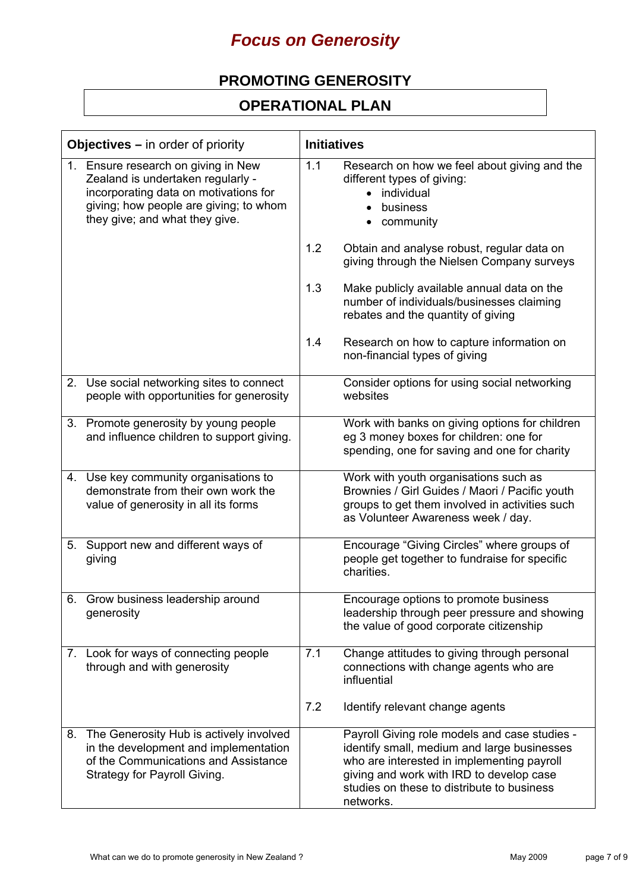### **PROMOTING GENEROSITY**

### **OPERATIONAL PLAN**

| <b>Objectives</b> $-$ in order of priority |                                                                                                                                                                                               | <b>Initiatives</b> |                                                                                                                                                                                                                                                   |
|--------------------------------------------|-----------------------------------------------------------------------------------------------------------------------------------------------------------------------------------------------|--------------------|---------------------------------------------------------------------------------------------------------------------------------------------------------------------------------------------------------------------------------------------------|
|                                            | 1. Ensure research on giving in New<br>Zealand is undertaken regularly -<br>incorporating data on motivations for<br>giving; how people are giving; to whom<br>they give; and what they give. | 1.1                | Research on how we feel about giving and the<br>different types of giving:<br>individual<br>business<br>community<br>$\bullet$                                                                                                                    |
|                                            |                                                                                                                                                                                               | 1.2                | Obtain and analyse robust, regular data on<br>giving through the Nielsen Company surveys                                                                                                                                                          |
|                                            |                                                                                                                                                                                               | 1.3                | Make publicly available annual data on the<br>number of individuals/businesses claiming<br>rebates and the quantity of giving                                                                                                                     |
|                                            |                                                                                                                                                                                               | 1.4                | Research on how to capture information on<br>non-financial types of giving                                                                                                                                                                        |
|                                            | 2. Use social networking sites to connect<br>people with opportunities for generosity                                                                                                         |                    | Consider options for using social networking<br>websites                                                                                                                                                                                          |
|                                            | 3. Promote generosity by young people<br>and influence children to support giving.                                                                                                            |                    | Work with banks on giving options for children<br>eg 3 money boxes for children: one for<br>spending, one for saving and one for charity                                                                                                          |
|                                            | 4. Use key community organisations to<br>demonstrate from their own work the<br>value of generosity in all its forms                                                                          |                    | Work with youth organisations such as<br>Brownies / Girl Guides / Maori / Pacific youth<br>groups to get them involved in activities such<br>as Volunteer Awareness week / day.                                                                   |
|                                            | 5. Support new and different ways of<br>giving                                                                                                                                                |                    | Encourage "Giving Circles" where groups of<br>people get together to fundraise for specific<br>charities.                                                                                                                                         |
| 6.                                         | Grow business leadership around<br>generosity                                                                                                                                                 |                    | Encourage options to promote business<br>leadership through peer pressure and showing<br>the value of good corporate citizenship                                                                                                                  |
|                                            | 7. Look for ways of connecting people<br>through and with generosity                                                                                                                          | 7.1                | Change attitudes to giving through personal<br>connections with change agents who are<br>influential                                                                                                                                              |
|                                            |                                                                                                                                                                                               | 7.2                | Identify relevant change agents                                                                                                                                                                                                                   |
|                                            | 8. The Generosity Hub is actively involved<br>in the development and implementation<br>of the Communications and Assistance<br>Strategy for Payroll Giving.                                   |                    | Payroll Giving role models and case studies -<br>identify small, medium and large businesses<br>who are interested in implementing payroll<br>giving and work with IRD to develop case<br>studies on these to distribute to business<br>networks. |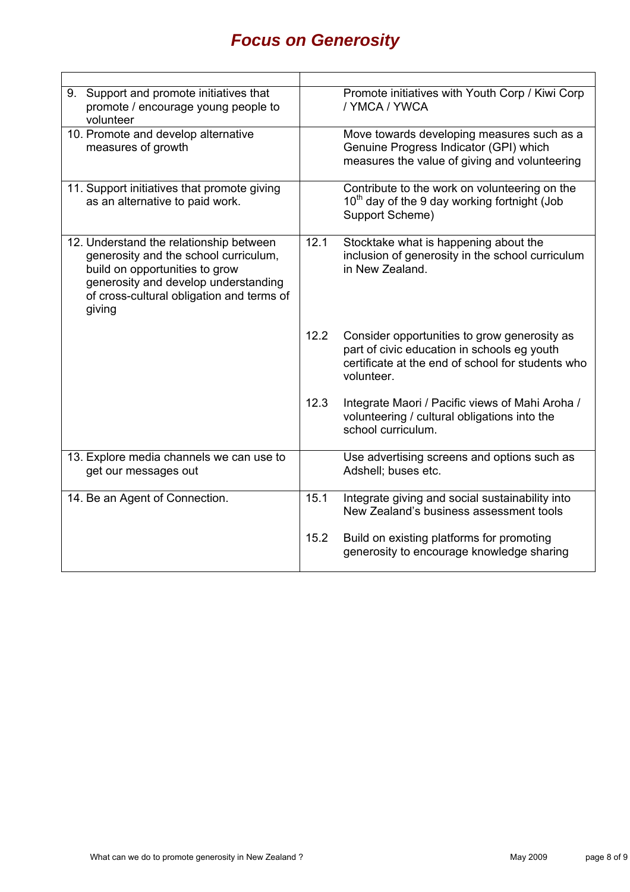| 9. Support and promote initiatives that<br>promote / encourage young people to<br>volunteer                                                                                                                       |      | Promote initiatives with Youth Corp / Kiwi Corp<br>/ YMCA / YWCA                                                                                               |
|-------------------------------------------------------------------------------------------------------------------------------------------------------------------------------------------------------------------|------|----------------------------------------------------------------------------------------------------------------------------------------------------------------|
| 10. Promote and develop alternative<br>measures of growth                                                                                                                                                         |      | Move towards developing measures such as a<br>Genuine Progress Indicator (GPI) which<br>measures the value of giving and volunteering                          |
| 11. Support initiatives that promote giving<br>as an alternative to paid work.                                                                                                                                    |      | Contribute to the work on volunteering on the<br>10 <sup>th</sup> day of the 9 day working fortnight (Job<br>Support Scheme)                                   |
| 12. Understand the relationship between<br>generosity and the school curriculum,<br>build on opportunities to grow<br>generosity and develop understanding<br>of cross-cultural obligation and terms of<br>giving | 12.1 | Stocktake what is happening about the<br>inclusion of generosity in the school curriculum<br>in New Zealand.                                                   |
|                                                                                                                                                                                                                   | 12.2 | Consider opportunities to grow generosity as<br>part of civic education in schools eg youth<br>certificate at the end of school for students who<br>volunteer. |
|                                                                                                                                                                                                                   | 12.3 | Integrate Maori / Pacific views of Mahi Aroha /<br>volunteering / cultural obligations into the<br>school curriculum.                                          |
| 13. Explore media channels we can use to<br>get our messages out                                                                                                                                                  |      | Use advertising screens and options such as<br>Adshell; buses etc.                                                                                             |
| 14. Be an Agent of Connection.                                                                                                                                                                                    | 15.1 | Integrate giving and social sustainability into<br>New Zealand's business assessment tools                                                                     |
|                                                                                                                                                                                                                   | 15.2 | Build on existing platforms for promoting<br>generosity to encourage knowledge sharing                                                                         |